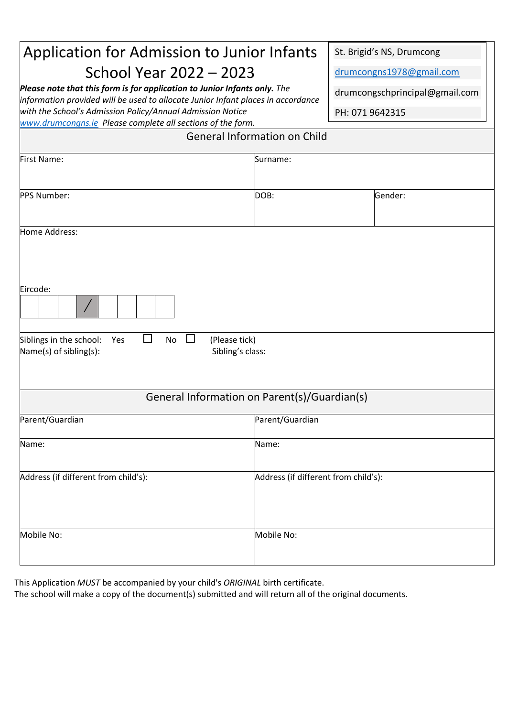# Application for Admission to Junior Infants

## School Year 2022 – 2023

*Please note that this form is for application to Junior Infants only. The information provided will be used to allocate Junior Infant places in accordance with the School's Admission Policy/Annual Admission Notice [www.drumcongns.ie](http://www.drumcongns.ie/) Please complete all sections of the form.* 

St. Brigid's NS, Drumcong

[drumcongns1978@gmail.com](mailto:drumcongns1978@gmail.com)

drumcongschprincipal@gmail.com

PH: 071 9642315

| <b>General Information on Child</b>                                                |                                              |         |  |  |  |  |
|------------------------------------------------------------------------------------|----------------------------------------------|---------|--|--|--|--|
| First Name:                                                                        | Surname:                                     |         |  |  |  |  |
| PPS Number:                                                                        | DOB:                                         | Gender: |  |  |  |  |
| Home Address:                                                                      |                                              |         |  |  |  |  |
| Eircode:<br>$\bigg)$                                                               |                                              |         |  |  |  |  |
| $\Box$<br>Siblings in the school:<br>No<br>$\Box$<br>Yes<br>Name(s) of sibling(s): | (Please tick)<br>Sibling's class:            |         |  |  |  |  |
|                                                                                    | General Information on Parent(s)/Guardian(s) |         |  |  |  |  |
| Parent/Guardian                                                                    | Parent/Guardian                              |         |  |  |  |  |
| Name:                                                                              | Name:                                        |         |  |  |  |  |
| Address (if different from child's):                                               | Address (if different from child's):         |         |  |  |  |  |
| Mobile No:                                                                         | Mobile No:                                   |         |  |  |  |  |

This Application *MUST* be accompanied by your child's *ORIGINAL* birth certificate.

The school will make a copy of the document(s) submitted and will return all of the original documents.